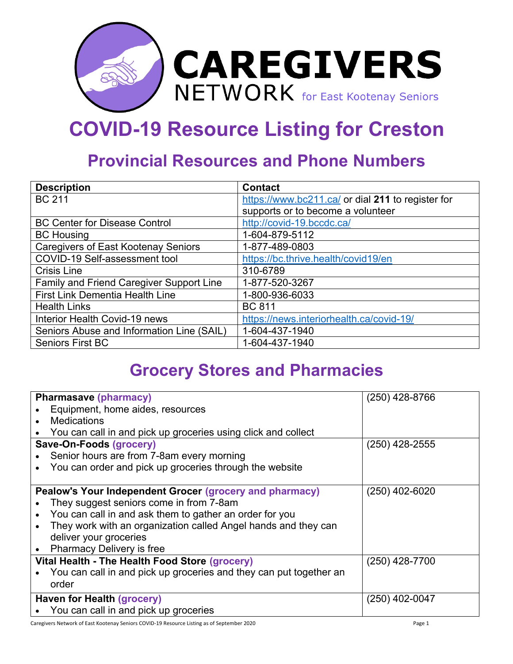

## **COVID-19 Resource Listing for Creston**

## **Provincial Resources and Phone Numbers**

| <b>Description</b>                         | <b>Contact</b>                                    |
|--------------------------------------------|---------------------------------------------------|
| <b>BC 211</b>                              | https://www.bc211.ca/ or dial 211 to register for |
|                                            | supports or to become a volunteer                 |
| <b>BC Center for Disease Control</b>       | http://covid-19.bccdc.ca/                         |
| <b>BC Housing</b>                          | 1-604-879-5112                                    |
| <b>Caregivers of East Kootenay Seniors</b> | 1-877-489-0803                                    |
| COVID-19 Self-assessment tool              | https://bc.thrive.health/covid19/en               |
| <b>Crisis Line</b>                         | 310-6789                                          |
| Family and Friend Caregiver Support Line   | 1-877-520-3267                                    |
| <b>First Link Dementia Health Line</b>     | 1-800-936-6033                                    |
| <b>Health Links</b>                        | <b>BC 811</b>                                     |
| Interior Health Covid-19 news              | https://news.interiorhealth.ca/covid-19/          |
| Seniors Abuse and Information Line (SAIL)  | 1-604-437-1940                                    |
| <b>Seniors First BC</b>                    | 1-604-437-1940                                    |

## **Grocery Stores and Pharmacies**

| <b>Pharmasave (pharmacy)</b> |                                                                    | $(250)$ 428-8766 |  |  |  |
|------------------------------|--------------------------------------------------------------------|------------------|--|--|--|
|                              | Equipment, home aides, resources                                   |                  |  |  |  |
| <b>Medications</b>           |                                                                    |                  |  |  |  |
|                              | You can call in and pick up groceries using click and collect      |                  |  |  |  |
|                              | Save-On-Foods (grocery)                                            | $(250)$ 428-2555 |  |  |  |
|                              | Senior hours are from 7-8am every morning                          |                  |  |  |  |
|                              | You can order and pick up groceries through the website            |                  |  |  |  |
|                              |                                                                    |                  |  |  |  |
|                              | Pealow's Your Independent Grocer (grocery and pharmacy)            | $(250)$ 402-6020 |  |  |  |
|                              | They suggest seniors come in from 7-8am                            |                  |  |  |  |
|                              | You can call in and ask them to gather an order for you            |                  |  |  |  |
|                              | They work with an organization called Angel hands and they can     |                  |  |  |  |
|                              | deliver your groceries                                             |                  |  |  |  |
|                              | <b>Pharmacy Delivery is free</b>                                   |                  |  |  |  |
|                              | Vital Health - The Health Food Store (grocery)                     | $(250)$ 428-7700 |  |  |  |
|                              | You can call in and pick up groceries and they can put together an |                  |  |  |  |
| order                        |                                                                    |                  |  |  |  |
|                              | Haven for Health (grocery)                                         | $(250)$ 402-0047 |  |  |  |
|                              | You can call in and pick up groceries                              |                  |  |  |  |

Caregivers Network of East Kootenay Seniors COVID-19 Resource Listing as of September 2020 Page 1